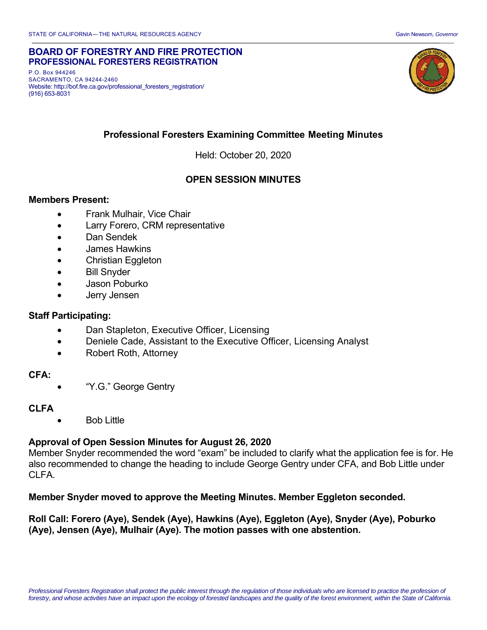#### **BOARD OF FORESTRY AND FIRE PROTECTION PROFESSIONAL FORESTERS REGISTRATION**

 P.O. Box 944246 SACRAMENTO, CA 94244-2460 Website: http://bof.fire.ca.gov/professional\_foresters\_registration/ (916) 653-8031



# **Professional Foresters Examining Committee Meeting Minutes**

Held: October 20, 2020

# **OPEN SESSION MINUTES**

#### **Members Present:**

- Frank Mulhair, Vice Chair
- Larry Forero, CRM representative
- Dan Sendek
- James Hawkins
- Christian Eggleton
- Bill Snyder
- Jason Poburko
- Jerry Jensen

#### **Staff Participating:**

- Dan Stapleton, Executive Officer, Licensing
- Deniele Cade, Assistant to the Executive Officer, Licensing Analyst
- Robert Roth, Attorney

#### **CFA:**

"Y.G." George Gentry

#### **CLFA**

Bob Little

### **Approval of Open Session Minutes for August 26, 2020**

Member Snyder recommended the word "exam" be included to clarify what the application fee is for. He also recommended to change the heading to include George Gentry under CFA, and Bob Little under CLFA.

#### **Member Snyder moved to approve the Meeting Minutes. Member Eggleton seconded.**

 **Roll Call: Forero (Aye), Sendek (Aye), Hawkins (Aye), Eggleton (Aye), Snyder (Aye), Poburko (Aye), Jensen (Aye), Mulhair (Aye). The motion passes with one abstention.**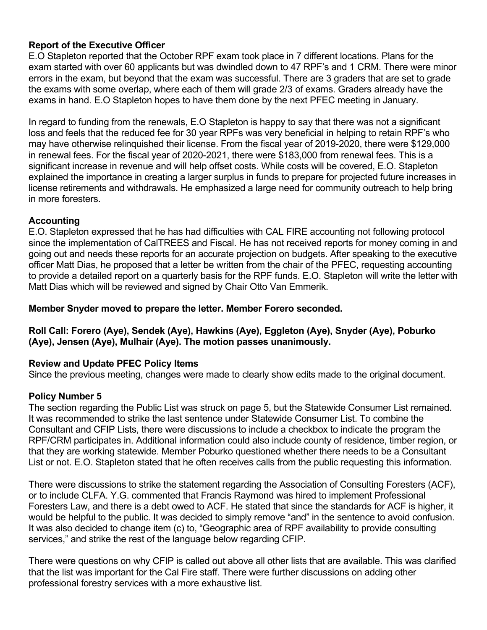# **Report of the Executive Officer**

E.O Stapleton reported that the October RPF exam took place in 7 different locations. Plans for the exam started with over 60 applicants but was dwindled down to 47 RPF's and 1 CRM. There were minor errors in the exam, but beyond that the exam was successful. There are 3 graders that are set to grade the exams with some overlap, where each of them will grade 2/3 of exams. Graders already have the exams in hand. E.O Stapleton hopes to have them done by the next PFEC meeting in January.

In regard to funding from the renewals, E.O Stapleton is happy to say that there was not a significant loss and feels that the reduced fee for 30 year RPFs was very beneficial in helping to retain RPF's who may have otherwise relinquished their license. From the fiscal year of 2019-2020, there were \$129,000 in renewal fees. For the fiscal year of 2020-2021, there were \$183,000 from renewal fees. This is a significant increase in revenue and will help offset costs. While costs will be covered, E.O. Stapleton explained the importance in creating a larger surplus in funds to prepare for projected future increases in license retirements and withdrawals. He emphasized a large need for community outreach to help bring in more foresters.

# **Accounting**

E.O. Stapleton expressed that he has had difficulties with CAL FIRE accounting not following protocol since the implementation of CalTREES and Fiscal. He has not received reports for money coming in and going out and needs these reports for an accurate projection on budgets. After speaking to the executive officer Matt Dias, he proposed that a letter be written from the chair of the PFEC, requesting accounting to provide a detailed report on a quarterly basis for the RPF funds. E.O. Stapleton will write the letter with Matt Dias which will be reviewed and signed by Chair Otto Van Emmerik.

### **Member Snyder moved to prepare the letter. Member Forero seconded.**

# **Roll Call: Forero (Aye), Sendek (Aye), Hawkins (Aye), Eggleton (Aye), Snyder (Aye), Poburko (Aye), Jensen (Aye), Mulhair (Aye). The motion passes unanimously.**

### **Review and Update PFEC Policy Items**

Since the previous meeting, changes were made to clearly show edits made to the original document.

### **Policy Number 5**

The section regarding the Public List was struck on page 5, but the Statewide Consumer List remained. It was recommended to strike the last sentence under Statewide Consumer List. To combine the Consultant and CFIP Lists, there were discussions to include a checkbox to indicate the program the RPF/CRM participates in. Additional information could also include county of residence, timber region, or that they are working statewide. Member Poburko questioned whether there needs to be a Consultant List or not. E.O. Stapleton stated that he often receives calls from the public requesting this information.

 Foresters Law, and there is a debt owed to ACF. He stated that since the standards for ACF is higher, it There were discussions to strike the statement regarding the Association of Consulting Foresters (ACF), or to include CLFA. Y.G. commented that Francis Raymond was hired to implement Professional would be helpful to the public. It was decided to simply remove "and" in the sentence to avoid confusion. It was also decided to change item (c) to, "Geographic area of RPF availability to provide consulting services," and strike the rest of the language below regarding CFIP.

 There were questions on why CFIP is called out above all other lists that are available. This was clarified that the list was important for the Cal Fire staff. There were further discussions on adding other professional forestry services with a more exhaustive list.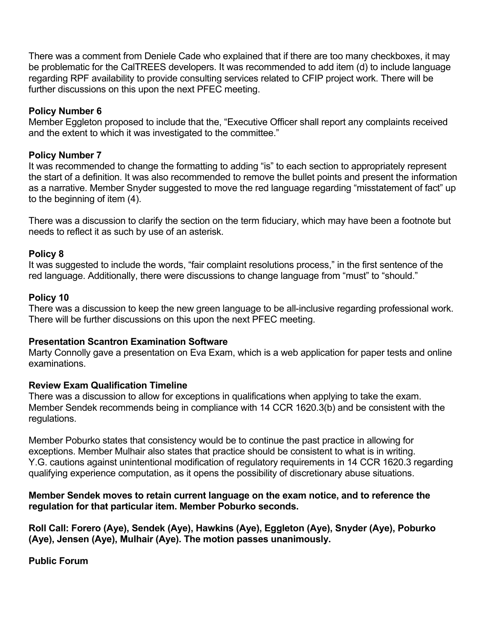be problematic for the CalTREES developers. It was recommended to add item (d) to include language There was a comment from Deniele Cade who explained that if there are too many checkboxes, it may regarding RPF availability to provide consulting services related to CFIP project work. There will be further discussions on this upon the next PFEC meeting.

### **Policy Number 6**

Member Eggleton proposed to include that the, "Executive Officer shall report any complaints received and the extent to which it was investigated to the committee."

# **Policy Number 7**

It was recommended to change the formatting to adding "is" to each section to appropriately represent the start of a definition. It was also recommended to remove the bullet points and present the information as a narrative. Member Snyder suggested to move the red language regarding "misstatement of fact" up to the beginning of item (4).

There was a discussion to clarify the section on the term fiduciary, which may have been a footnote but needs to reflect it as such by use of an asterisk.

# **Policy 8**

It was suggested to include the words, "fair complaint resolutions process," in the first sentence of the red language. Additionally, there were discussions to change language from "must" to "should."

# **Policy 10**

There was a discussion to keep the new green language to be all-inclusive regarding professional work. There will be further discussions on this upon the next PFEC meeting.

# **Presentation Scantron Examination Software**

Marty Connolly gave a presentation on Eva Exam, which is a web application for paper tests and online examinations.

# **Review Exam Qualification Timeline**

There was a discussion to allow for exceptions in qualifications when applying to take the exam. Member Sendek recommends being in compliance with 14 CCR 1620.3(b) and be consistent with the regulations.

Member Poburko states that consistency would be to continue the past practice in allowing for exceptions. Member Mulhair also states that practice should be consistent to what is in writing. Y.G. cautions against unintentional modification of regulatory requirements in 14 CCR 1620.3 regarding qualifying experience computation, as it opens the possibility of discretionary abuse situations.

### **Member Sendek moves to retain current language on the exam notice, and to reference the regulation for that particular item. Member Poburko seconds.**

 **Roll Call: Forero (Aye), Sendek (Aye), Hawkins (Aye), Eggleton (Aye), Snyder (Aye), Poburko (Aye), Jensen (Aye), Mulhair (Aye). The motion passes unanimously.** 

 **Public Forum**